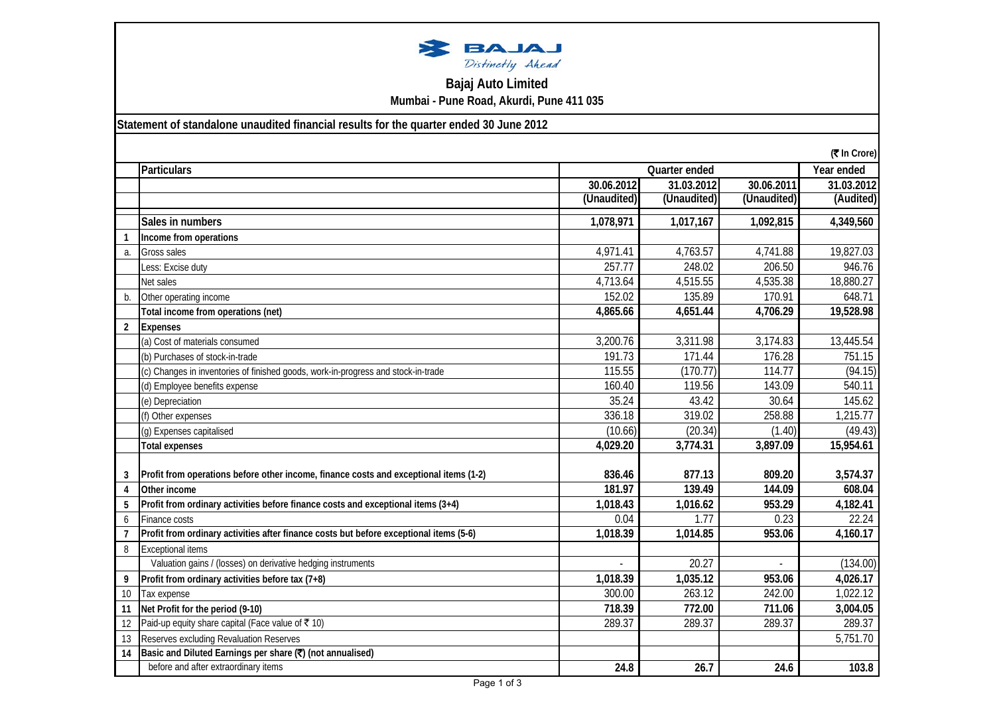

## **Bajaj Auto Limited Mumbai - Pune Road, Akurdi, Pune 411 035**

**Statement of standalone unaudited financial results for the quarter ended 30 June 2012**

|                | (₹ In Crore)                                                                           |             |               |             |            |
|----------------|----------------------------------------------------------------------------------------|-------------|---------------|-------------|------------|
|                | <b>Particulars</b>                                                                     |             | Quarter ended |             | Year ended |
|                |                                                                                        | 30.06.2012  | 31.03.2012    | 30.06.2011  | 31.03.2012 |
|                |                                                                                        | (Unaudited) | (Unaudited)   | (Unaudited) | (Audited)  |
|                | Sales in numbers                                                                       | 1,078,971   | 1,017,167     | 1,092,815   | 4,349,560  |
| -1             | Income from operations                                                                 |             |               |             |            |
| a.             | <b>Gross sales</b>                                                                     | 4,971.41    | 4,763.57      | 4,741.88    | 19,827.03  |
|                | Less: Excise duty                                                                      | 257.77      | 248.02        | 206.50      | 946.76     |
|                | Net sales                                                                              | 4,713.64    | 4,515.55      | 4,535.38    | 18,880.27  |
| $b$            | Other operating income                                                                 | 152.02      | 135.89        | 170.91      | 648.71     |
|                | Total income from operations (net)                                                     | 4,865.66    | 4,651.44      | 4,706.29    | 19,528.98  |
| $\overline{2}$ | <b>Expenses</b>                                                                        |             |               |             |            |
|                | (a) Cost of materials consumed                                                         | 3,200.76    | 3,311.98      | 3,174.83    | 13,445.54  |
|                | (b) Purchases of stock-in-trade                                                        | 191.73      | 171.44        | 176.28      | 751.15     |
|                | (c) Changes in inventories of finished goods, work-in-progress and stock-in-trade      | 115.55      | (170.77)      | 114.77      | (94.15)    |
|                | (d) Employee benefits expense                                                          | 160.40      | 119.56        | 143.09      | 540.11     |
|                | (e) Depreciation                                                                       | 35.24       | 43.42         | 30.64       | 145.62     |
|                | (f) Other expenses                                                                     | 336.18      | 319.02        | 258.88      | 1,215.77   |
|                | (g) Expenses capitalised                                                               | (10.66)     | (20.34)       | (1.40)      | (49.43)    |
|                | Total expenses                                                                         | 4,029.20    | 3,774.31      | 3,897.09    | 15,954.61  |
|                | Profit from operations before other income, finance costs and exceptional items (1-2)  | 836.46      | 877.13        | 809.20      | 3,574.37   |
| 3<br>4         | Other income                                                                           | 181.97      | 139.49        | 144.09      | 608.04     |
| 5              | Profit from ordinary activities before finance costs and exceptional items (3+4)       | 1,018.43    | 1,016.62      | 953.29      | 4,182.41   |
| 6              | Finance costs                                                                          | 0.04        | 1.77          | 0.23        | 22.24      |
| $\overline{7}$ | Profit from ordinary activities after finance costs but before exceptional items (5-6) | 1,018.39    | 1,014.85      | 953.06      | 4,160.17   |
| 8              | <b>Exceptional items</b>                                                               |             |               |             |            |
|                | Valuation gains / (losses) on derivative hedging instruments                           |             | 20.27         |             | (134.00)   |
| 9              | Profit from ordinary activities before tax (7+8)                                       | 1,018.39    | 1,035.12      | 953.06      | 4,026.17   |
|                |                                                                                        | 300.00      | 263.12        | 242.00      | 1,022.12   |
| 10             | Tax expense<br>Net Profit for the period (9-10)                                        | 718.39      | 772.00        | 711.06      | 3,004.05   |
| 11             | Paid-up equity share capital (Face value of ₹10)                                       | 289.37      | 289.37        | 289.37      | 289.37     |
| 12             | Reserves excluding Revaluation Reserves                                                |             |               |             | 5,751.70   |
| 13             | Basic and Diluted Earnings per share (?) (not annualised)                              |             |               |             |            |
| 14             | before and after extraordinary items                                                   |             |               |             |            |
|                |                                                                                        | 24.8        | 26.7          | 24.6        | 103.8      |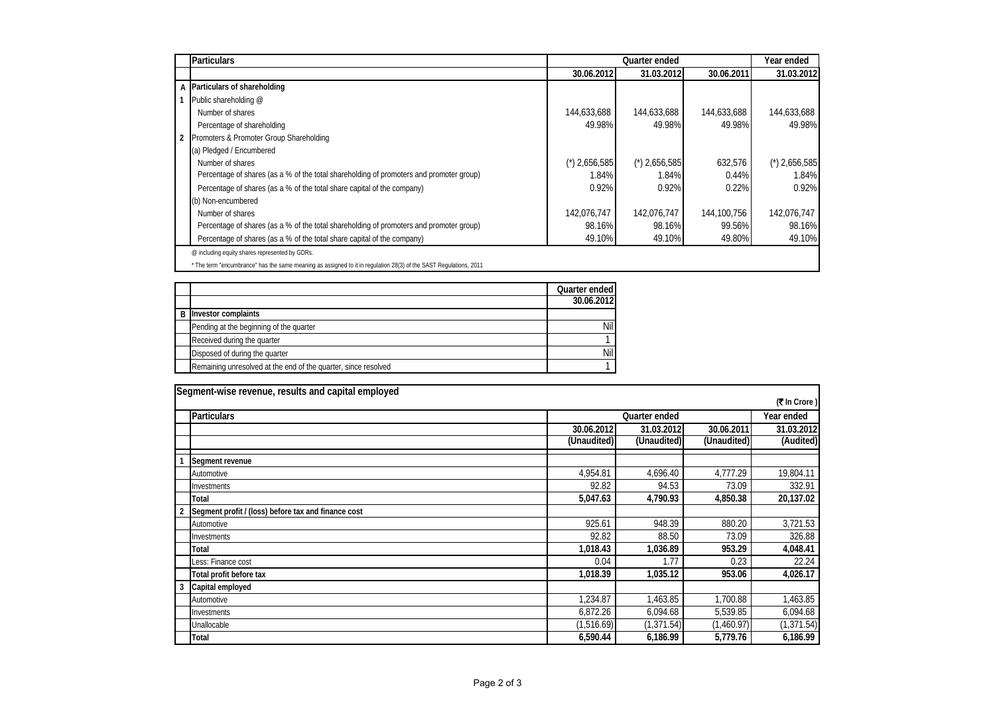|                | <b>Particulars</b>                                                                                                | Quarter ended                 |                               |             | Year ended                    |
|----------------|-------------------------------------------------------------------------------------------------------------------|-------------------------------|-------------------------------|-------------|-------------------------------|
|                |                                                                                                                   | 30.06.2012                    | 31.03.2012                    | 30.06.2011  | 31.03.2012                    |
|                | A Particulars of shareholding                                                                                     |                               |                               |             |                               |
|                | Public shareholding @                                                                                             |                               |                               |             |                               |
|                | Number of shares                                                                                                  | 144,633,688                   | 144,633,688                   | 144,633,688 | 144,633,688                   |
|                | Percentage of shareholding                                                                                        | 49.98%                        | 49.98%                        | 49.98%      | 49.98%                        |
| $\overline{2}$ | Promoters & Promoter Group Shareholding                                                                           |                               |                               |             |                               |
|                | (a) Pledged / Encumbered                                                                                          |                               |                               |             |                               |
|                | Number of shares                                                                                                  | $^{\prime\prime}$ ) 2,656,585 | $^{\prime\prime}$ ) 2,656,585 | 632.576     | $^{\prime\prime}$ ) 2,656,585 |
|                | Percentage of shares (as a % of the total shareholding of promoters and promoter group)                           | 1.84%                         | 1.84%                         | 0.44%       | 1.84%                         |
|                | Percentage of shares (as a % of the total share capital of the company)                                           | 0.92%                         | 0.92%                         | 0.22%       | 0.92%                         |
|                | (b) Non-encumbered                                                                                                |                               |                               |             |                               |
|                | Number of shares                                                                                                  | 142,076,747                   | 142,076,747                   | 144,100,756 | 142,076,747                   |
|                | Percentage of shares (as a % of the total shareholding of promoters and promoter group)                           | 98.16%                        | 98.16%                        | 99.56%      | 98.16%                        |
|                | Percentage of shares (as a % of the total share capital of the company)                                           | 49.10%                        | 49.10%                        | 49.80%      | 49.10%                        |
|                | @ including equity shares represented by GDRs.                                                                    |                               |                               |             |                               |
|                | * The term "encumbrance" has the same meaning as assigned to it in regulation 28(3) of the SAST Regulations, 2011 |                               |                               |             |                               |

|                                                                | Quarter ended |
|----------------------------------------------------------------|---------------|
|                                                                | 30.06.2012    |
| <b>B</b> Investor complaints                                   |               |
| Pending at the beginning of the quarter                        | Nil.          |
| Received during the quarter                                    |               |
| Disposed of during the quarter                                 | <b>Nil</b>    |
| Remaining unresolved at the end of the quarter, since resolved |               |

| Segment-wise revenue, results and capital employed |                                                     |               |             |             |             |  |
|----------------------------------------------------|-----------------------------------------------------|---------------|-------------|-------------|-------------|--|
|                                                    | (₹ In Crore)                                        |               |             |             |             |  |
|                                                    | <b>Particulars</b>                                  | Quarter ended |             |             | Year ended  |  |
|                                                    |                                                     | 30.06.2012    | 31.03.2012  | 30.06.2011  | 31.03.2012  |  |
|                                                    |                                                     | (Unaudited)   | (Unaudited) | (Unaudited) | (Audited)   |  |
|                                                    | Segment revenue                                     |               |             |             |             |  |
|                                                    | Automotive                                          | 4,954.81      | 4,696.40    | 4,777.29    | 19,804.11   |  |
|                                                    | Investments                                         | 92.82         | 94.53       | 73.09       | 332.91      |  |
|                                                    | Total                                               | 5,047.63      | 4,790.93    | 4,850.38    | 20,137.02   |  |
|                                                    | Segment profit / (loss) before tax and finance cost |               |             |             |             |  |
|                                                    | Automotive                                          | 925.61        | 948.39      | 880.20      | 3,721.53    |  |
|                                                    | Investments                                         | 92.82         | 88.50       | 73.09       | 326.88      |  |
|                                                    | Total                                               | 1,018.43      | 1,036.89    | 953.29      | 4,048.41    |  |
|                                                    | Less: Finance cost                                  | 0.04          | 1.77        | 0.23        | 22.24       |  |
|                                                    | Total profit before tax                             | 1,018.39      | 1,035.12    | 953.06      | 4,026.17    |  |
| 3                                                  | Capital employed                                    |               |             |             |             |  |
|                                                    | Automotive                                          | 1.234.87      | 1,463.85    | 1.700.88    | 1,463.85    |  |
|                                                    | Investments                                         | 6,872.26      | 6,094.68    | 5,539.85    | 6,094.68    |  |
|                                                    | Unallocable                                         | (1,516.69)    | (1,371.54)  | (1,460.97)  | (1, 371.54) |  |
|                                                    | Total                                               | 6,590.44      | 6,186.99    | 5,779.76    | 6,186.99    |  |